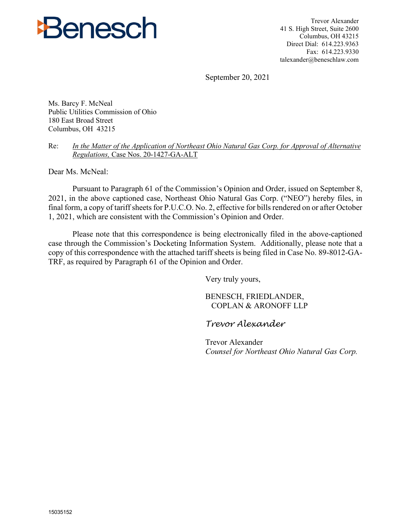

Trevor Alexander 41 S. High Street, Suite 2600 Columbus, OH 43215 Direct Dial: 614.223.9363 Fax: 614.223.9330 talexander@beneschlaw.com

September 20, 2021

Ms. Barcy F. McNeal Public Utilities Commission of Ohio 180 East Broad Street Columbus, OH 43215

Re: *In the Matter of the Application of Northeast Ohio Natural Gas Corp. for Approval of Alternative Regulations,* Case Nos. 20-1427-GA-ALT

Dear Ms. McNeal:

Pursuant to Paragraph 61 of the Commission's Opinion and Order, issued on September 8, 2021, in the above captioned case, Northeast Ohio Natural Gas Corp. ("NEO") hereby files, in final form, a copy of tariff sheets for P.U.C.O. No. 2, effective for bills rendered on or after October 1, 2021, which are consistent with the Commission's Opinion and Order.

Please note that this correspondence is being electronically filed in the above-captioned case through the Commission's Docketing Information System. Additionally, please note that a copy of this correspondence with the attached tariff sheets is being filed in Case No. 89-8012-GA-TRF, as required by Paragraph 61 of the Opinion and Order.

Very truly yours,

BENESCH, FRIEDLANDER, COPLAN & ARONOFF LLP

*Trevor Alexander*

Trevor Alexander *Counsel for Northeast Ohio Natural Gas Corp.*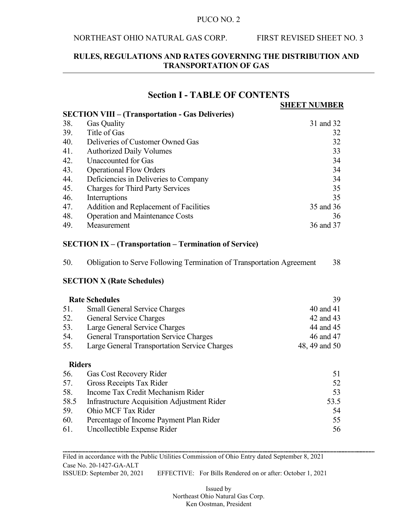#### NORTHEAST OHIO NATURAL GAS CORP. FIRST REVISED SHEET NO. 3

# **RULES, REGULATIONS AND RATES GOVERNING THE DISTRIBUTION AND TRANSPORTATION OF GAS**

**Section I - TABLE OF CONTENTS**

# **SHEET NUMBER SECTION VIII – (Transportation - Gas Deliveries)** 38. Gas Quality 31 and 32 39. Title of Gas 32<br>40. Deliveries of Customer Owned Gas 32 40. Deliveries of Customer Owned Gas 32 41. Authorized Daily Volumes 33 42. Unaccounted for Gas 34 43. Operational Flow Orders 34 44. Deficiencies in Deliveries to Company 34 45. Charges for Third Party Services 35 46. Interruptions 35 47. Addition and Replacement of Facilities 35 and 36 48. Operation and Maintenance Costs 36 49. Measurement 36 and 37

## **SECTION IX – (Transportation – Termination of Service)**

| 50. |  | Obligation to Serve Following Termination of Transportation Agreement | 38 |
|-----|--|-----------------------------------------------------------------------|----|
|     |  |                                                                       |    |

## **SECTION X (Rate Schedules)**

|               | <b>Rate Schedules</b>                         | 39            |
|---------------|-----------------------------------------------|---------------|
| 51.           | <b>Small General Service Charges</b>          | 40 and 41     |
| 52.           | General Service Charges                       | 42 and 43     |
| 53.           | Large General Service Charges                 | 44 and 45     |
| 54.           | <b>General Transportation Service Charges</b> | 46 and 47     |
| 55.           | Large General Transportation Service Charges  | 48, 49 and 50 |
| <b>Riders</b> |                                               |               |
| 56.           | <b>Gas Cost Recovery Rider</b>                | 51            |
| 57.           | Gross Receipts Tax Rider                      | 52            |
| 58.           | Income Tax Credit Mechanism Rider             | 53            |
| 58.5          | Infrastructure Acquisition Adjustment Rider   | 53.5          |
| 59.           | Ohio MCF Tax Rider                            | 54            |
| 60.           | Percentage of Income Payment Plan Rider       | 55            |
| 61.           | Uncollectible Expense Rider                   | 56            |

Filed in accordance with the Public Utilities Commission of Ohio Entry dated September 8, 2021 Case No. 20-1427-GA-ALT ISSUED: September 20, 2021 EFFECTIVE: For Bills Rendered on or after: October 1, 2021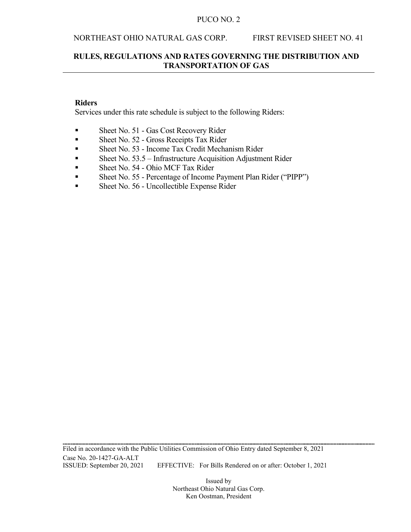#### NORTHEAST OHIO NATURAL GAS CORP. FIRST REVISED SHEET NO. 41

## **RULES, REGULATIONS AND RATES GOVERNING THE DISTRIBUTION AND TRANSPORTATION OF GAS**

## **Riders**

Services under this rate schedule is subject to the following Riders:

- Sheet No. 51 Gas Cost Recovery Rider
- Sheet No. 52 Gross Receipts Tax Rider
- Sheet No. 53 Income Tax Credit Mechanism Rider
- Sheet No. 53.5 Infrastructure Acquisition Adjustment Rider
- Sheet No. 54 Ohio MCF Tax Rider
- Sheet No. 55 Percentage of Income Payment Plan Rider ("PIPP")
- Sheet No. 56 Uncollectible Expense Rider

Filed in accordance with the Public Utilities Commission of Ohio Entry dated September 8, 2021 Case No. 20-1427-GA-ALT<br>ISSUED: September 20, 2021 EFFECTIVE: For Bills Rendered on or after: October 1, 2021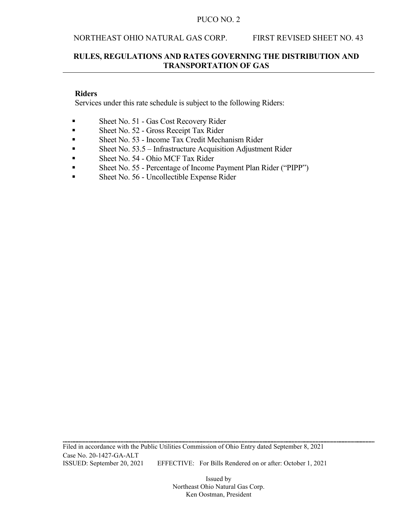#### NORTHEAST OHIO NATURAL GAS CORP. FIRST REVISED SHEET NO. 43

# **RULES, REGULATIONS AND RATES GOVERNING THE DISTRIBUTION AND TRANSPORTATION OF GAS**

# **Riders**

Services under this rate schedule is subject to the following Riders:

- Sheet No. 51 Gas Cost Recovery Rider
- Sheet No. 52 Gross Receipt Tax Rider
- Sheet No. 53 Income Tax Credit Mechanism Rider
- Sheet No. 53.5 Infrastructure Acquisition Adjustment Rider
- Sheet No. 54 Ohio MCF Tax Rider
- Sheet No. 55 Percentage of Income Payment Plan Rider ("PIPP")
- Sheet No. 56 Uncollectible Expense Rider

Filed in accordance with the Public Utilities Commission of Ohio Entry dated September 8, 2021 Case No. 20-1427-GA-ALT ISSUED: September 20, 2021 EFFECTIVE: For Bills Rendered on or after: October 1, 2021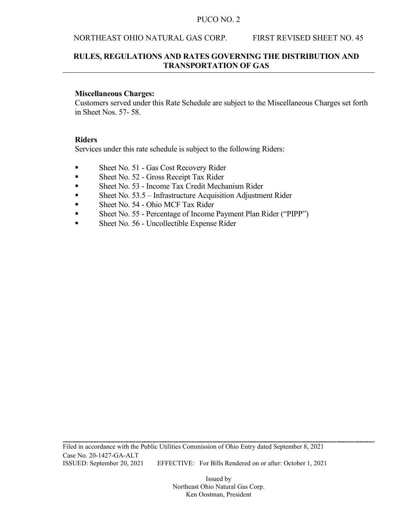## NORTHEAST OHIO NATURAL GAS CORP. FIRST REVISED SHEET NO. 45

# **RULES, REGULATIONS AND RATES GOVERNING THE DISTRIBUTION AND TRANSPORTATION OF GAS**

#### **Miscellaneous Charges:**

Customers served under this Rate Schedule are subject to the Miscellaneous Charges set forth in Sheet Nos. 57- 58.

#### **Riders**

Services under this rate schedule is subject to the following Riders:

- Sheet No. 51 Gas Cost Recovery Rider
- Sheet No. 52 Gross Receipt Tax Rider
- Sheet No. 53 Income Tax Credit Mechanism Rider
- Sheet No. 53.5 Infrastructure Acquisition Adjustment Rider
- Sheet No. 54 Ohio MCF Tax Rider
- Sheet No. 55 Percentage of Income Payment Plan Rider ("PIPP")
- Sheet No. 56 Uncollectible Expense Rider

Filed in accordance with the Public Utilities Commission of Ohio Entry dated September 8, 2021 Case No. 20-1427-GA-ALT ISSUED: September 20, 2021 EFFECTIVE: For Bills Rendered on or after: October 1, 2021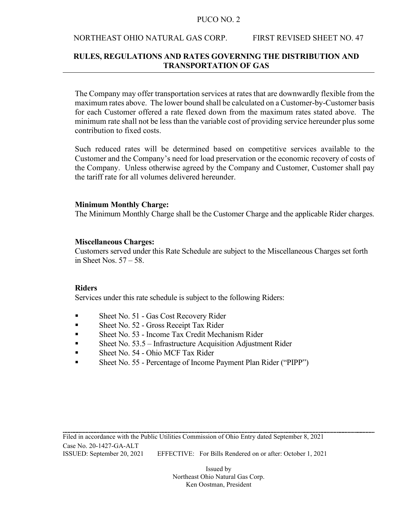#### NORTHEAST OHIO NATURAL GAS CORP. FIRST REVISED SHEET NO. 47

# **RULES, REGULATIONS AND RATES GOVERNING THE DISTRIBUTION AND TRANSPORTATION OF GAS**

The Company may offer transportation services at rates that are downwardly flexible from the maximum rates above. The lower bound shall be calculated on a Customer-by-Customer basis for each Customer offered a rate flexed down from the maximum rates stated above. The minimum rate shall not be less than the variable cost of providing service hereunder plus some contribution to fixed costs.

Such reduced rates will be determined based on competitive services available to the Customer and the Company's need for load preservation or the economic recovery of costs of the Company. Unless otherwise agreed by the Company and Customer, Customer shall pay the tariff rate for all volumes delivered hereunder.

## **Minimum Monthly Charge:**

The Minimum Monthly Charge shall be the Customer Charge and the applicable Rider charges.

## **Miscellaneous Charges:**

Customers served under this Rate Schedule are subject to the Miscellaneous Charges set forth in Sheet Nos. 57 – 58.

## **Riders**

Services under this rate schedule is subject to the following Riders:

- Sheet No. 51 Gas Cost Recovery Rider
- Sheet No. 52 Gross Receipt Tax Rider
- Sheet No. 53 Income Tax Credit Mechanism Rider
- Sheet No. 53.5 Infrastructure Acquisition Adjustment Rider
- Sheet No. 54 Ohio MCF Tax Rider
- Sheet No. 55 Percentage of Income Payment Plan Rider ("PIPP")

Filed in accordance with the Public Utilities Commission of Ohio Entry dated September 8, 2021 Case No. 20-1427-GA-ALT ISSUED: September 20, 2021 EFFECTIVE: For Bills Rendered on or after: October 1, 2021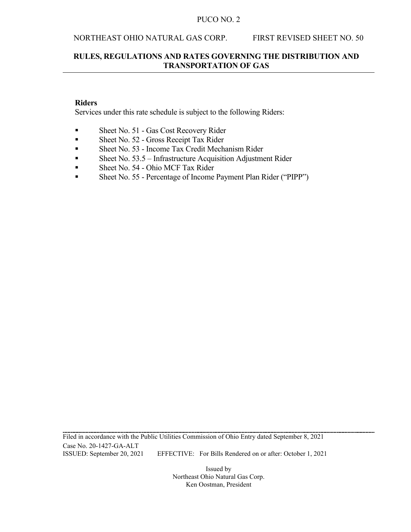#### NORTHEAST OHIO NATURAL GAS CORP. FIRST REVISED SHEET NO. 50

# **RULES, REGULATIONS AND RATES GOVERNING THE DISTRIBUTION AND TRANSPORTATION OF GAS**

### **Riders**

Services under this rate schedule is subject to the following Riders:

- Sheet No. 51 Gas Cost Recovery Rider
- Sheet No. 52 Gross Receipt Tax Rider
- Sheet No. 53 Income Tax Credit Mechanism Rider
- Sheet No. 53.5 Infrastructure Acquisition Adjustment Rider
- Sheet No. 54 Ohio MCF Tax Rider
- Sheet No. 55 Percentage of Income Payment Plan Rider ("PIPP")

Filed in accordance with the Public Utilities Commission of Ohio Entry dated September 8, 2021 Case No. 20-1427-GA-ALT ISSUED: September 20, 2021 EFFECTIVE: For Bills Rendered on or after: October 1, 2021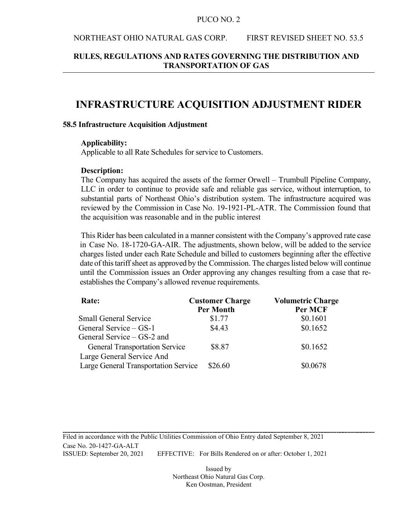#### NORTHEAST OHIO NATURAL GAS CORP. FIRST REVISED SHEET NO. 53.5

# **RULES, REGULATIONS AND RATES GOVERNING THE DISTRIBUTION AND TRANSPORTATION OF GAS**

# **INFRASTRUCTURE ACQUISITION ADJUSTMENT RIDER**

#### **58.5 Infrastructure Acquisition Adjustment**

#### **Applicability:**

Applicable to all Rate Schedules for service to Customers.

#### **Description:**

The Company has acquired the assets of the former Orwell – Trumbull Pipeline Company, LLC in order to continue to provide safe and reliable gas service, without interruption, to substantial parts of Northeast Ohio's distribution system. The infrastructure acquired was reviewed by the Commission in Case No. 19-1921-PL-ATR. The Commission found that the acquisition was reasonable and in the public interest

This Rider has been calculated in a manner consistent with the Company's approved rate case in Case No. 18-1720-GA-AIR. The adjustments, shown below, will be added to the service charges listed under each Rate Schedule and billed to customers beginning after the effective date of this tariff sheet as approved by the Commission. The charges listed below will continue until the Commission issues an Order approving any changes resulting from a case that reestablishes the Company's allowed revenue requirements.

| Rate:                                 | <b>Customer Charge</b><br><b>Per Month</b> | <b>Volumetric Charge</b><br>Per MCF |
|---------------------------------------|--------------------------------------------|-------------------------------------|
| <b>Small General Service</b>          | \$1.77                                     | \$0.1601                            |
| General Service – GS-1                | \$4.43                                     | \$0.1652                            |
| General Service – GS-2 and            |                                            |                                     |
| <b>General Transportation Service</b> | \$8.87                                     | \$0.1652                            |
| Large General Service And             |                                            |                                     |
| Large General Transportation Service  | \$26.60                                    | \$0.0678                            |

Filed in accordance with the Public Utilities Commission of Ohio Entry dated September 8, 2021 Case No. 20-1427-GA-ALT ISSUED: September 20, 2021 EFFECTIVE: For Bills Rendered on or after: October 1, 2021